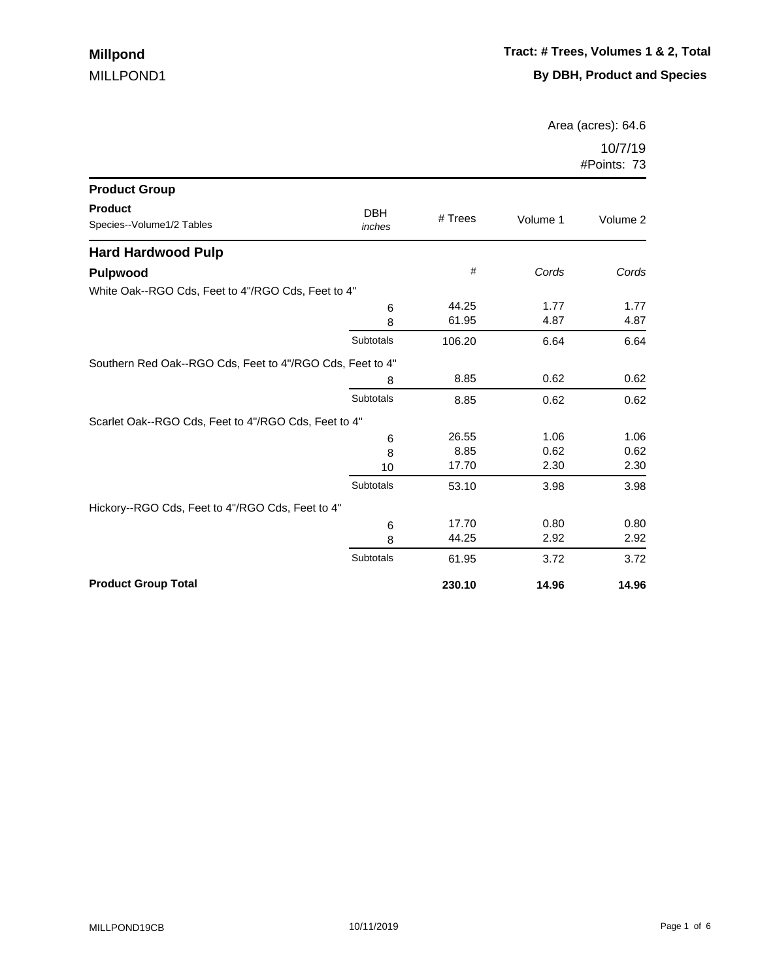Area (acres): 64.6

| <b>Product Group</b>                                      |                      |         |          |          |
|-----------------------------------------------------------|----------------------|---------|----------|----------|
| <b>Product</b><br>Species--Volume1/2 Tables               | <b>DBH</b><br>inches | # Trees | Volume 1 | Volume 2 |
| <b>Hard Hardwood Pulp</b>                                 |                      |         |          |          |
| <b>Pulpwood</b>                                           |                      | #       | Cords    | Cords    |
| White Oak--RGO Cds, Feet to 4"/RGO Cds, Feet to 4"        |                      |         |          |          |
|                                                           | 6                    | 44.25   | 1.77     | 1.77     |
|                                                           | 8                    | 61.95   | 4.87     | 4.87     |
|                                                           | Subtotals            | 106.20  | 6.64     | 6.64     |
| Southern Red Oak--RGO Cds, Feet to 4"/RGO Cds, Feet to 4" |                      |         |          |          |
|                                                           | 8                    | 8.85    | 0.62     | 0.62     |
|                                                           | Subtotals            | 8.85    | 0.62     | 0.62     |
| Scarlet Oak--RGO Cds, Feet to 4"/RGO Cds, Feet to 4"      |                      |         |          |          |
|                                                           | 6                    | 26.55   | 1.06     | 1.06     |
|                                                           | 8                    | 8.85    | 0.62     | 0.62     |
|                                                           | 10                   | 17.70   | 2.30     | 2.30     |
|                                                           | Subtotals            | 53.10   | 3.98     | 3.98     |
| Hickory--RGO Cds, Feet to 4"/RGO Cds, Feet to 4"          |                      |         |          |          |
|                                                           | 6                    | 17.70   | 0.80     | 0.80     |
|                                                           | 8                    | 44.25   | 2.92     | 2.92     |
|                                                           | Subtotals            | 61.95   | 3.72     | 3.72     |
| <b>Product Group Total</b>                                |                      | 230.10  | 14.96    | 14.96    |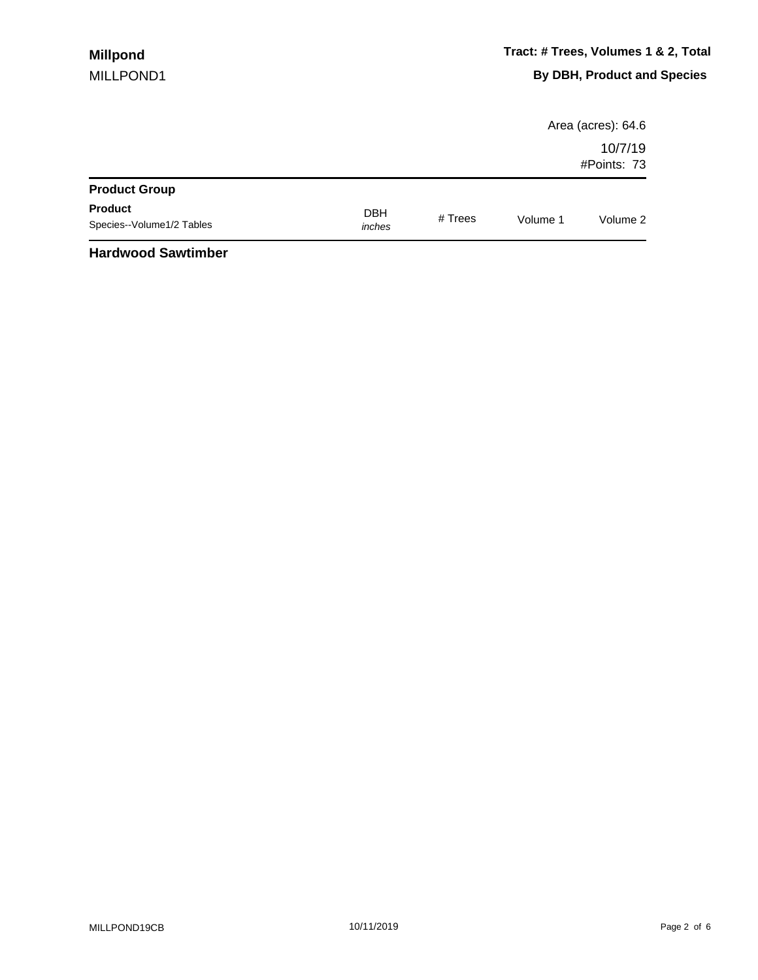|                                             |                      |         |          | Area (acres): 64.6     |
|---------------------------------------------|----------------------|---------|----------|------------------------|
|                                             |                      |         |          | 10/7/19<br>#Points: 73 |
| <b>Product Group</b>                        |                      |         |          |                        |
| <b>Product</b><br>Species--Volume1/2 Tables | <b>DBH</b><br>inches | # Trees | Volume 1 | Volume 2               |
| .                                           |                      |         |          |                        |

#### **Hardwood Sawtimber**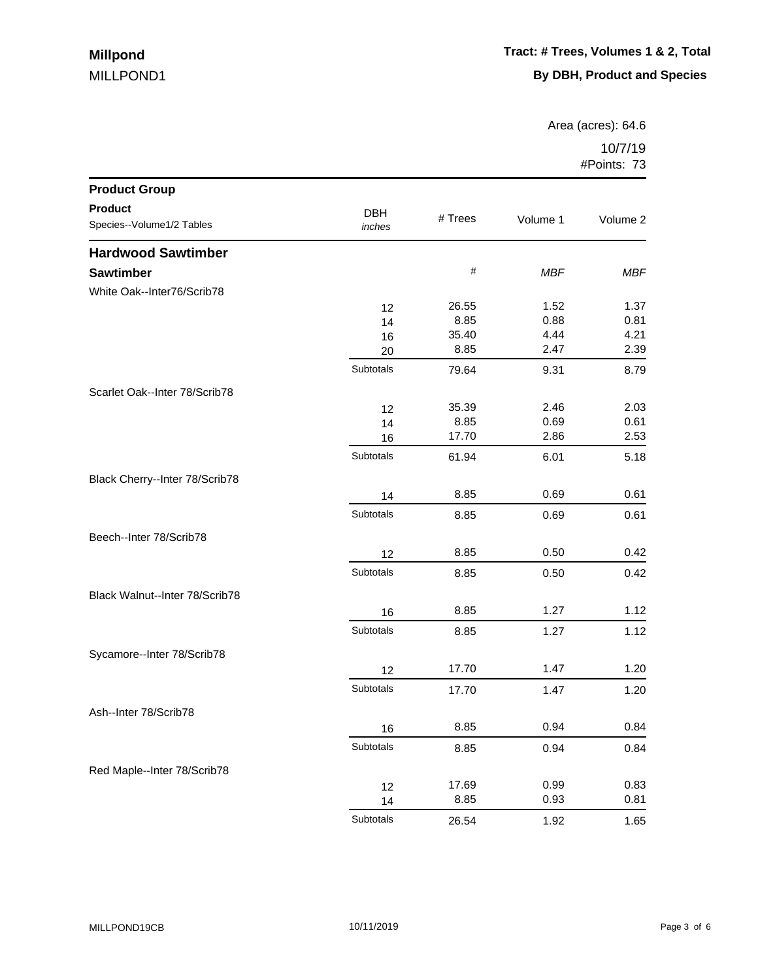Area (acres): 64.6

| <b>Product Group</b>           |            |         |            |            |
|--------------------------------|------------|---------|------------|------------|
| <b>Product</b>                 | <b>DBH</b> |         |            |            |
| Species--Volume1/2 Tables      | inches     | # Trees | Volume 1   | Volume 2   |
| <b>Hardwood Sawtimber</b>      |            |         |            |            |
| <b>Sawtimber</b>               |            | $\#$    | <b>MBF</b> | <b>MBF</b> |
| White Oak--Inter76/Scrib78     |            |         |            |            |
|                                | 12         | 26.55   | 1.52       | 1.37       |
|                                | 14         | 8.85    | 0.88       | 0.81       |
|                                | 16         | 35.40   | 4.44       | 4.21       |
|                                | 20         | 8.85    | 2.47       | 2.39       |
|                                | Subtotals  | 79.64   | 9.31       | 8.79       |
| Scarlet Oak--Inter 78/Scrib78  |            |         |            |            |
|                                | 12         | 35.39   | 2.46       | 2.03       |
|                                | 14         | 8.85    | 0.69       | 0.61       |
|                                | 16         | 17.70   | 2.86       | 2.53       |
|                                | Subtotals  | 61.94   | 6.01       | 5.18       |
| Black Cherry--Inter 78/Scrib78 |            |         |            |            |
|                                | 14         | 8.85    | 0.69       | 0.61       |
|                                | Subtotals  | 8.85    | 0.69       | 0.61       |
| Beech--Inter 78/Scrib78        |            |         |            |            |
|                                | 12         | 8.85    | 0.50       | 0.42       |
|                                | Subtotals  | 8.85    | 0.50       | 0.42       |
| Black Walnut--Inter 78/Scrib78 |            |         |            |            |
|                                | 16         | 8.85    | 1.27       | 1.12       |
|                                | Subtotals  | 8.85    | 1.27       | 1.12       |
| Sycamore--Inter 78/Scrib78     |            |         |            |            |
|                                | 12         | 17.70   | 1.47       | 1.20       |
|                                | Subtotals  | 17.70   | 1.47       | 1.20       |
| Ash--Inter 78/Scrib78          |            |         |            |            |
|                                | 16         | 8.85    | 0.94       | 0.84       |
|                                | Subtotals  | 8.85    | 0.94       | 0.84       |
| Red Maple--Inter 78/Scrib78    |            |         |            |            |
|                                | 12         | 17.69   | 0.99       | 0.83       |
|                                | 14         | 8.85    | 0.93       | 0.81       |
|                                | Subtotals  | 26.54   | 1.92       | 1.65       |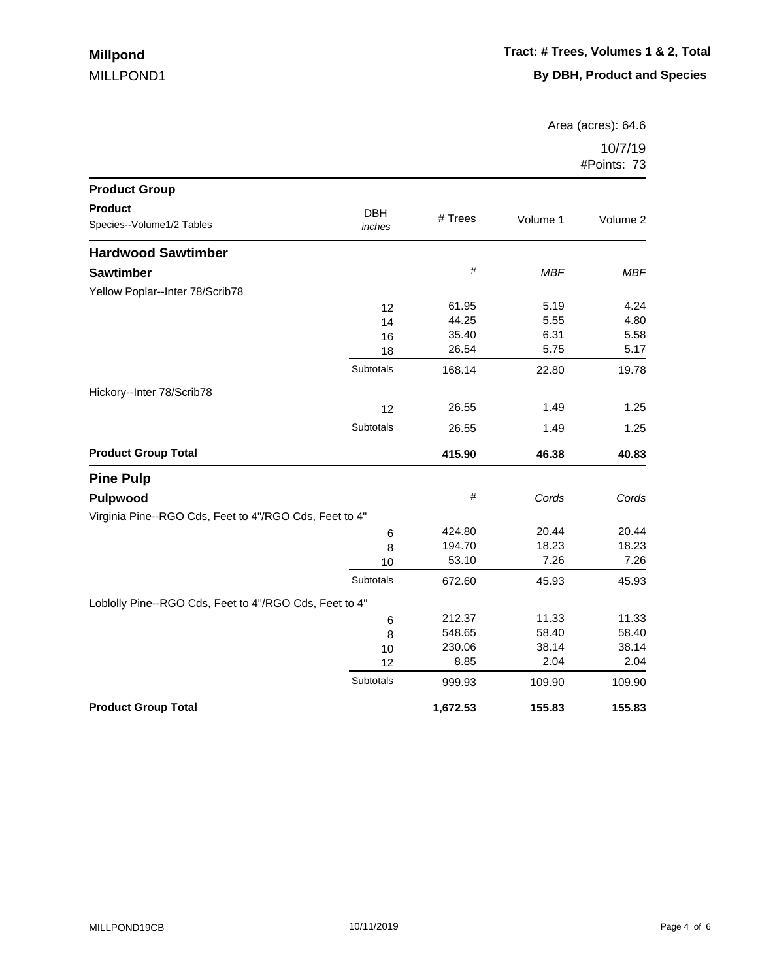Area (acres): 64.6

| <b>Product Group</b>                                   |                      |          |            |            |
|--------------------------------------------------------|----------------------|----------|------------|------------|
| <b>Product</b><br>Species--Volume1/2 Tables            | <b>DBH</b><br>inches | # Trees  | Volume 1   | Volume 2   |
| <b>Hardwood Sawtimber</b>                              |                      |          |            |            |
| <b>Sawtimber</b>                                       |                      | $\#$     | <b>MBF</b> | <b>MBF</b> |
| Yellow Poplar--Inter 78/Scrib78                        |                      |          |            |            |
|                                                        | 12                   | 61.95    | 5.19       | 4.24       |
|                                                        | 14                   | 44.25    | 5.55       | 4.80       |
|                                                        | 16                   | 35.40    | 6.31       | 5.58       |
|                                                        | 18                   | 26.54    | 5.75       | 5.17       |
|                                                        | Subtotals            | 168.14   | 22.80      | 19.78      |
| Hickory--Inter 78/Scrib78                              |                      |          |            |            |
|                                                        | 12                   | 26.55    | 1.49       | 1.25       |
|                                                        | Subtotals            | 26.55    | 1.49       | 1.25       |
| <b>Product Group Total</b>                             |                      | 415.90   | 46.38      | 40.83      |
| <b>Pine Pulp</b>                                       |                      |          |            |            |
| <b>Pulpwood</b>                                        |                      | $\#$     | Cords      | Cords      |
| Virginia Pine--RGO Cds, Feet to 4"/RGO Cds, Feet to 4" |                      |          |            |            |
|                                                        | 6                    | 424.80   | 20.44      | 20.44      |
|                                                        | 8                    | 194.70   | 18.23      | 18.23      |
|                                                        | 10                   | 53.10    | 7.26       | 7.26       |
|                                                        | Subtotals            | 672.60   | 45.93      | 45.93      |
| Loblolly Pine--RGO Cds, Feet to 4"/RGO Cds, Feet to 4" |                      |          |            |            |
|                                                        | 6                    | 212.37   | 11.33      | 11.33      |
|                                                        | 8                    | 548.65   | 58.40      | 58.40      |
|                                                        | 10                   | 230.06   | 38.14      | 38.14      |
|                                                        | 12                   | 8.85     | 2.04       | 2.04       |
|                                                        | Subtotals            | 999.93   | 109.90     | 109.90     |
| <b>Product Group Total</b>                             |                      | 1,672.53 | 155.83     | 155.83     |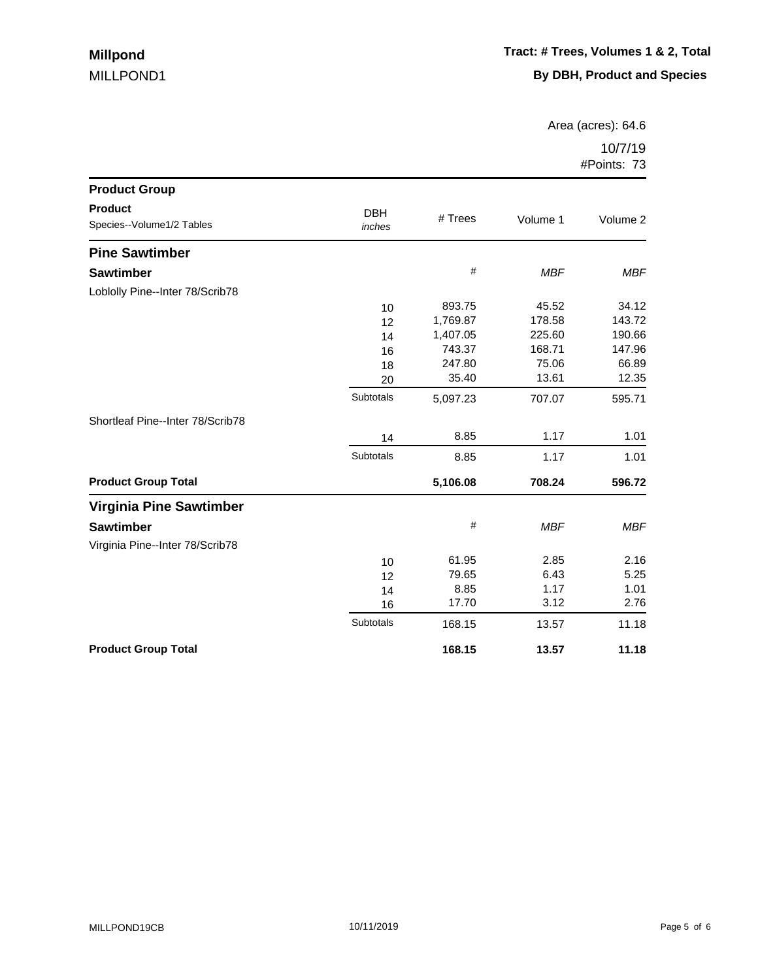Area (acres): 64.6

| <b>Product Group</b>                        |                      |          |            |            |
|---------------------------------------------|----------------------|----------|------------|------------|
| <b>Product</b><br>Species--Volume1/2 Tables | <b>DBH</b><br>inches | # Trees  | Volume 1   | Volume 2   |
| <b>Pine Sawtimber</b>                       |                      |          |            |            |
| <b>Sawtimber</b>                            |                      | $\#$     | <b>MBF</b> | <b>MBF</b> |
| Loblolly Pine--Inter 78/Scrib78             |                      |          |            |            |
|                                             | 10                   | 893.75   | 45.52      | 34.12      |
|                                             | 12                   | 1,769.87 | 178.58     | 143.72     |
|                                             | 14                   | 1,407.05 | 225.60     | 190.66     |
|                                             | 16                   | 743.37   | 168.71     | 147.96     |
|                                             | 18                   | 247.80   | 75.06      | 66.89      |
|                                             | 20                   | 35.40    | 13.61      | 12.35      |
|                                             | Subtotals            | 5,097.23 | 707.07     | 595.71     |
| Shortleaf Pine--Inter 78/Scrib78            |                      |          |            |            |
|                                             | 14                   | 8.85     | 1.17       | 1.01       |
|                                             | Subtotals            | 8.85     | 1.17       | 1.01       |
| <b>Product Group Total</b>                  |                      | 5,106.08 | 708.24     | 596.72     |
| <b>Virginia Pine Sawtimber</b>              |                      |          |            |            |
| <b>Sawtimber</b>                            |                      | #        | <b>MBF</b> | <b>MBF</b> |
| Virginia Pine--Inter 78/Scrib78             |                      |          |            |            |
|                                             | 10                   | 61.95    | 2.85       | 2.16       |
|                                             | 12                   | 79.65    | 6.43       | 5.25       |
|                                             | 14                   | 8.85     | 1.17       | 1.01       |
|                                             | 16                   | 17.70    | 3.12       | 2.76       |
|                                             | Subtotals            | 168.15   | 13.57      | 11.18      |
| <b>Product Group Total</b>                  |                      | 168.15   | 13.57      | 11.18      |